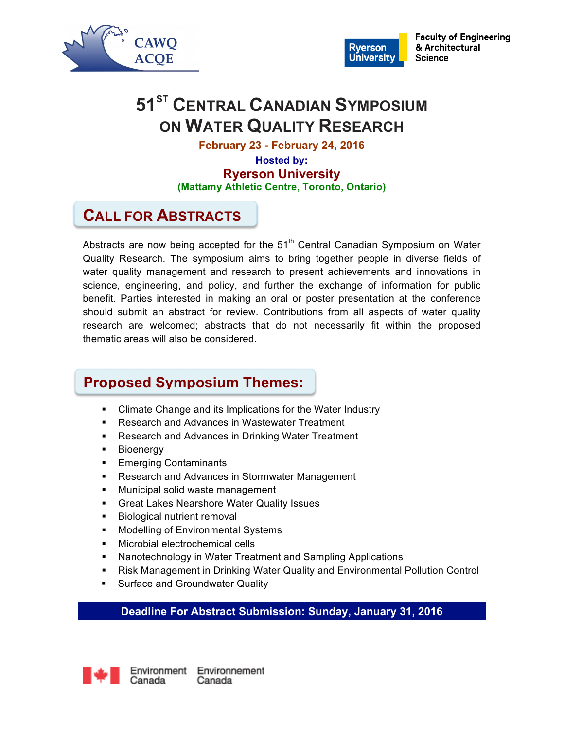



**Faculty of Engineering** & Architectural **Science** 

# **51<sup>ST</sup> CENTRAL CANADIAN SYMPOSIUM ON WATER QUALITY RESEARCH**

**February 23 - February 24, 2016**

**Hosted by: Ryerson University (Mattamy Athletic Centre, Toronto, Ontario)**

# **CALL FOR ABSTRACTS**

Abstracts are now being accepted for the  $51<sup>th</sup>$  Central Canadian Symposium on Water Quality Research. The symposium aims to bring together people in diverse fields of water quality management and research to present achievements and innovations in science, engineering, and policy, and further the exchange of information for public benefit. Parties interested in making an oral or poster presentation at the conference should submit an abstract for review. Contributions from all aspects of water quality research are welcomed; abstracts that do not necessarily fit within the proposed thematic areas will also be considered.

# **Proposed Symposium Themes:**

- § Climate Change and its Implications for the Water Industry
- Research and Advances in Wastewater Treatment
- Research and Advances in Drinking Water Treatment
- **•** Bioenergy
- Emerging Contaminants
- Research and Advances in Stormwater Management
- Municipal solid waste management
- Great Lakes Nearshore Water Quality Issues
- **■** Biological nutrient removal
- Modelling of Environmental Systems
- § Microbial electrochemical cells
- Nanotechnology in Water Treatment and Sampling Applications
- Risk Management in Drinking Water Quality and Environmental Pollution Control
- **Surface and Groundwater Quality**

## **Deadline For Abstract Submission: Sunday, January 31, 2016**

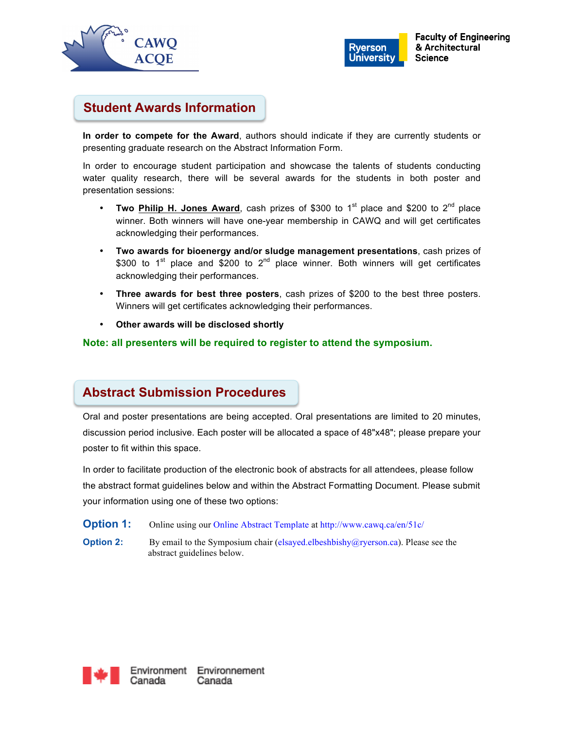



# **Student Awards Information**

**In order to compete for the Award**, authors should indicate if they are currently students or presenting graduate research on the Abstract Information Form.

In order to encourage student participation and showcase the talents of students conducting water quality research, there will be several awards for the students in both poster and presentation sessions:

- **Two Philip H. Jones Award**, cash prizes of \$300 to 1<sup>st</sup> place and \$200 to 2<sup>nd</sup> place winner. Both winners will have one-year membership in CAWQ and will get certificates acknowledging their performances.
- **Two awards for bioenergy and/or sludge management presentations**, cash prizes of \$300 to  $1^{st}$  place and \$200 to  $2^{nd}$  place winner. Both winners will get certificates acknowledging their performances.
- **Three awards for best three posters**, cash prizes of \$200 to the best three posters. Winners will get certificates acknowledging their performances.
- **Other awards will be disclosed shortly**

### **Note: all presenters will be required to register to attend the symposium.**

## **Abstract Submission Procedures**

Oral and poster presentations are being accepted. Oral presentations are limited to 20 minutes, discussion period inclusive. Each poster will be allocated a space of 48"x48"; please prepare your poster to fit within this space.

In order to facilitate production of the electronic book of abstracts for all attendees, please follow the abstract format guidelines below and within the Abstract Formatting Document. Please submit your information using one of these two options:

- **Option 1:** Online using our Online Abstract Template at http://www.cawq.ca/en/51c/
- **Option 2:** By email to the Symposium chair (elsayed.elbeshbishy@ryerson.ca). Please see the abstract guidelines below.

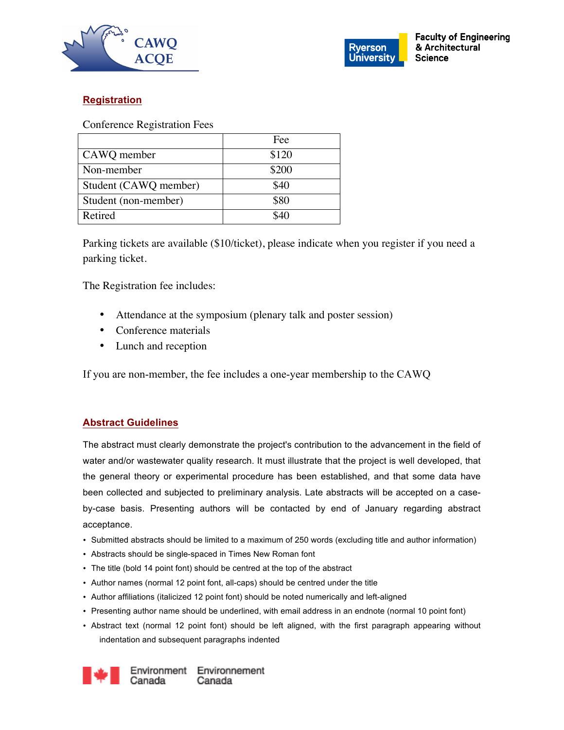



### **Registration**

Conference Registration Fees

|                       | Fee   |
|-----------------------|-------|
| CAWQ member           | \$120 |
| Non-member            | \$200 |
| Student (CAWQ member) | \$40  |
| Student (non-member)  | \$80  |
| Retired               |       |

Parking tickets are available (\$10/ticket), please indicate when you register if you need a parking ticket.

The Registration fee includes:

- Attendance at the symposium (plenary talk and poster session)
- Conference materials
- Lunch and reception

If you are non-member, the fee includes a one-year membership to the CAWQ

### **Abstract Guidelines**

The abstract must clearly demonstrate the project's contribution to the advancement in the field of water and/or wastewater quality research. It must illustrate that the project is well developed, that the general theory or experimental procedure has been established, and that some data have been collected and subjected to preliminary analysis. Late abstracts will be accepted on a caseby-case basis. Presenting authors will be contacted by end of January regarding abstract acceptance.

- Submitted abstracts should be limited to a maximum of 250 words (excluding title and author information)
- Abstracts should be single-spaced in Times New Roman font
- The title (bold 14 point font) should be centred at the top of the abstract
- Author names (normal 12 point font, all-caps) should be centred under the title
- Author affiliations (italicized 12 point font) should be noted numerically and left-aligned
- Presenting author name should be underlined, with email address in an endnote (normal 10 point font)
- Abstract text (normal 12 point font) should be left aligned, with the first paragraph appearing without indentation and subsequent paragraphs indented